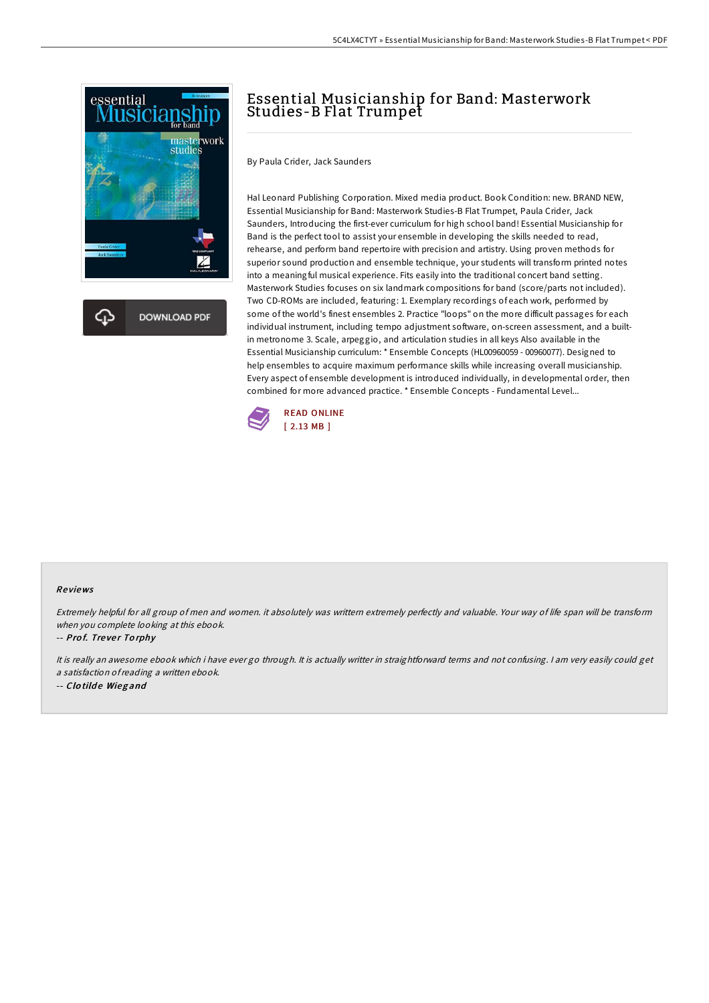

## Essential Musicianship for Band: Masterwork Studies-B Flat Trumpet

By Paula Crider, Jack Saunders

Hal Leonard Publishing Corporation. Mixed media product. Book Condition: new. BRAND NEW, Essential Musicianship for Band: Masterwork Studies-B Flat Trumpet, Paula Crider, Jack Saunders, Introducing the first-ever curriculum for high school band! Essential Musicianship for Band is the perfect tool to assist your ensemble in developing the skills needed to read, rehearse, and perform band repertoire with precision and artistry. Using proven methods for superior sound production and ensemble technique, your students will transform printed notes into a meaningful musical experience. Fits easily into the traditional concert band setting. Masterwork Studies focuses on six landmark compositions for band (score/parts not included). Two CD-ROMs are included, featuring: 1. Exemplary recordings of each work, performed by some of the world's finest ensembles 2. Practice "loops" on the more difficult passages for each individual instrument, including tempo adjustment software, on-screen assessment, and a builtin metronome 3. Scale, arpeggio, and articulation studies in all keys Also available in the Essential Musicianship curriculum: \* Ensemble Concepts (HL00960059 - 00960077). Designed to help ensembles to acquire maximum performance skills while increasing overall musicianship. Every aspect of ensemble development is introduced individually, in developmental order, then combined for more advanced practice. \* Ensemble Concepts - Fundamental Level...



#### Re views

Extremely helpful for all group of men and women. it absolutely was writtern extremely perfectly and valuable. Your way of life span will be transform when you complete looking at this ebook.

-- Prof. Trever Torphy

It is really an awesome ebook which i have ever go through. It is actually writter in straightforward terms and not confusing. <sup>I</sup> am very easily could get <sup>a</sup> satisfaction ofreading <sup>a</sup> written ebook. -- Clotilde Wiegand